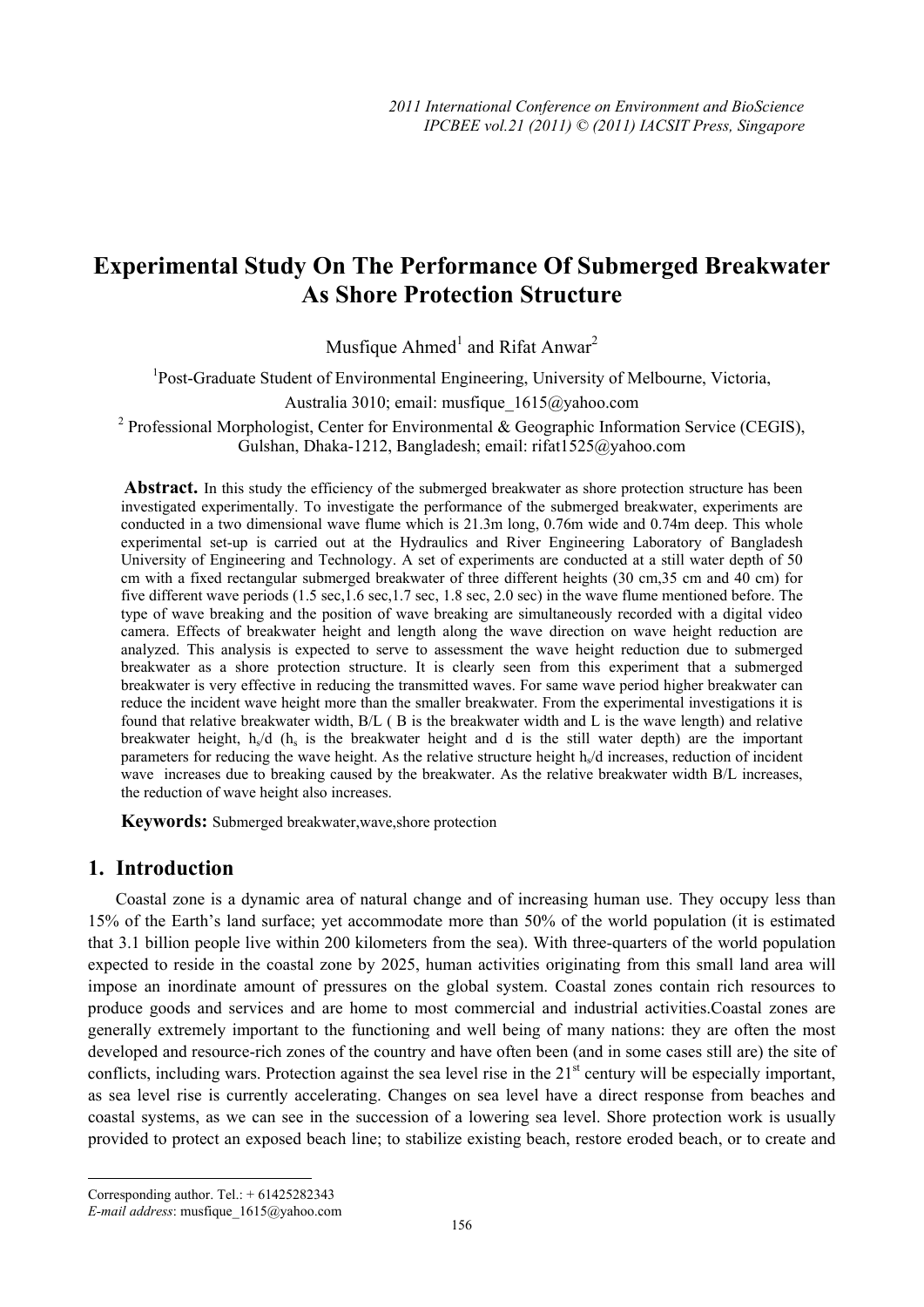# **Experimental Study On The Performance Of Submerged Breakwater As Shore Protection Structure**

Musfique  $Ahmed<sup>1</sup>$  and Rifat Anwar<sup>2</sup>

<sup>1</sup>Post-Graduate Student of Environmental Engineering, University of Melbourne, Victoria,

Australia 3010; email: musfique\_1615@yahoo.com

<sup>2</sup> Professional Morphologist, Center for Environmental & Geographic Information Service (CEGIS), Gulshan, Dhaka-1212, Bangladesh; email: rifat1525@yahoo.com

Abstract. In this study the efficiency of the submerged breakwater as shore protection structure has been investigated experimentally. To investigate the performance of the submerged breakwater, experiments are conducted in a two dimensional wave flume which is 21.3m long, 0.76m wide and 0.74m deep. This whole experimental set-up is carried out at the Hydraulics and River Engineering Laboratory of Bangladesh University of Engineering and Technology. A set of experiments are conducted at a still water depth of 50 cm with a fixed rectangular submerged breakwater of three different heights (30 cm,35 cm and 40 cm) for five different wave periods (1.5 sec,1.6 sec,1.7 sec, 1.8 sec, 2.0 sec) in the wave flume mentioned before. The type of wave breaking and the position of wave breaking are simultaneously recorded with a digital video camera. Effects of breakwater height and length along the wave direction on wave height reduction are analyzed. This analysis is expected to serve to assessment the wave height reduction due to submerged breakwater as a shore protection structure. It is clearly seen from this experiment that a submerged breakwater is very effective in reducing the transmitted waves. For same wave period higher breakwater can reduce the incident wave height more than the smaller breakwater. From the experimental investigations it is found that relative breakwater width, B/L ( B is the breakwater width and L is the wave length) and relative breakwater height,  $h<sub>s</sub>/d$  ( $h<sub>s</sub>$  is the breakwater height and d is the still water depth) are the important parameters for reducing the wave height. As the relative structure height  $h/d$  increases, reduction of incident wave increases due to breaking caused by the breakwater. As the relative breakwater width B/L increases, the reduction of wave height also increases.

**Keywords:** Submerged breakwater,wave,shore protection

# **1. Introduction**

Coastal zone is a dynamic area of natural change and of increasing human use. They occupy less than 15% of the Earth's land surface; yet accommodate more than 50% of the world population (it is estimated that 3.1 billion people live within 200 kilometers from the sea). With three-quarters of the world population expected to reside in the coastal zone by 2025, human activities originating from this small land area will impose an inordinate amount of pressures on the global system. Coastal zones contain rich resources to produce goods and services and are home to most commercial and industrial activities.Coastal zones are generally extremely important to the functioning and well being of many nations: they are often the most developed and resource-rich zones of the country and have often been (and in some cases still are) the site of conflicts, including wars. Protection against the sea level rise in the  $21<sup>st</sup>$  century will be especially important, as sea level rise is currently accelerating. Changes on sea level have a direct response from beaches and coastal systems, as we can see in the succession of a lowering sea level. Shore protection work is usually provided to protect an exposed beach line; to stabilize existing beach, restore eroded beach, or to create and

 $\overline{\phantom{a}}$ Corresponding author. Tel.: + 61425282343

*E-mail address*: musfique\_1615@yahoo.com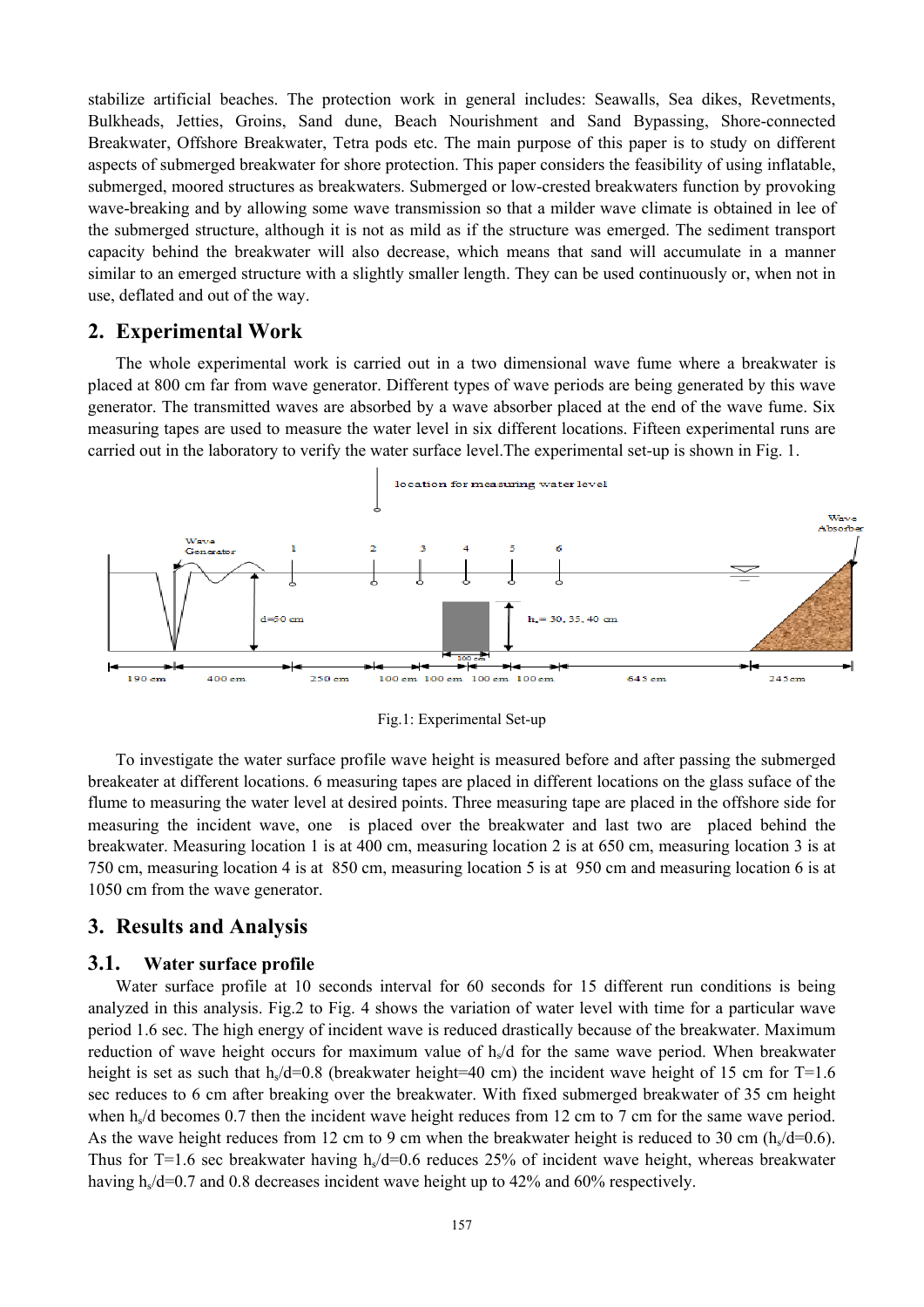stabilize artificial beaches. The protection work in general includes: Seawalls, Sea dikes, Revetments, Bulkheads, Jetties, Groins, Sand dune, Beach Nourishment and Sand Bypassing, Shore-connected Breakwater, Offshore Breakwater, Tetra pods etc. The main purpose of this paper is to study on different aspects of submerged breakwater for shore protection. This paper considers the feasibility of using inflatable, submerged, moored structures as breakwaters. Submerged or low-crested breakwaters function by provoking wave-breaking and by allowing some wave transmission so that a milder wave climate is obtained in lee of the submerged structure, although it is not as mild as if the structure was emerged. The sediment transport capacity behind the breakwater will also decrease, which means that sand will accumulate in a manner similar to an emerged structure with a slightly smaller length. They can be used continuously or, when not in use, deflated and out of the way.

### **2. Experimental Work**

The whole experimental work is carried out in a two dimensional wave fume where a breakwater is placed at 800 cm far from wave generator. Different types of wave periods are being generated by this wave generator. The transmitted waves are absorbed by a wave absorber placed at the end of the wave fume. Six measuring tapes are used to measure the water level in six different locations. Fifteen experimental runs are carried out in the laboratory to verify the water surface level.The experimental set-up is shown in Fig. 1.



Fig.1: Experimental Set-up

To investigate the water surface profile wave height is measured before and after passing the submerged breakeater at different locations. 6 measuring tapes are placed in different locations on the glass suface of the flume to measuring the water level at desired points. Three measuring tape are placed in the offshore side for measuring the incident wave, one is placed over the breakwater and last two are placed behind the breakwater. Measuring location 1 is at 400 cm, measuring location 2 is at 650 cm, measuring location 3 is at 750 cm, measuring location 4 is at 850 cm, measuring location 5 is at 950 cm and measuring location 6 is at 1050 cm from the wave generator.

## **3. Results and Analysis**

#### **3.1. Water surface profile**

Water surface profile at 10 seconds interval for 60 seconds for 15 different run conditions is being analyzed in this analysis. Fig.2 to Fig. 4 shows the variation of water level with time for a particular wave period 1.6 sec. The high energy of incident wave is reduced drastically because of the breakwater. Maximum reduction of wave height occurs for maximum value of  $h<sub>s</sub>/d$  for the same wave period. When breakwater height is set as such that h<sub>s</sub>/d=0.8 (breakwater height=40 cm) the incident wave height of 15 cm for T=1.6 sec reduces to 6 cm after breaking over the breakwater. With fixed submerged breakwater of 35 cm height when  $h<sub>s</sub>/d$  becomes 0.7 then the incident wave height reduces from 12 cm to 7 cm for the same wave period. As the wave height reduces from 12 cm to 9 cm when the breakwater height is reduced to 30 cm  $(h<sub>s</sub>/d=0.6)$ . Thus for T=1.6 sec breakwater having h<sub>s</sub>/d=0.6 reduces 25% of incident wave height, whereas breakwater having  $h<sub>s</sub>/d=0.7$  and 0.8 decreases incident wave height up to 42% and 60% respectively.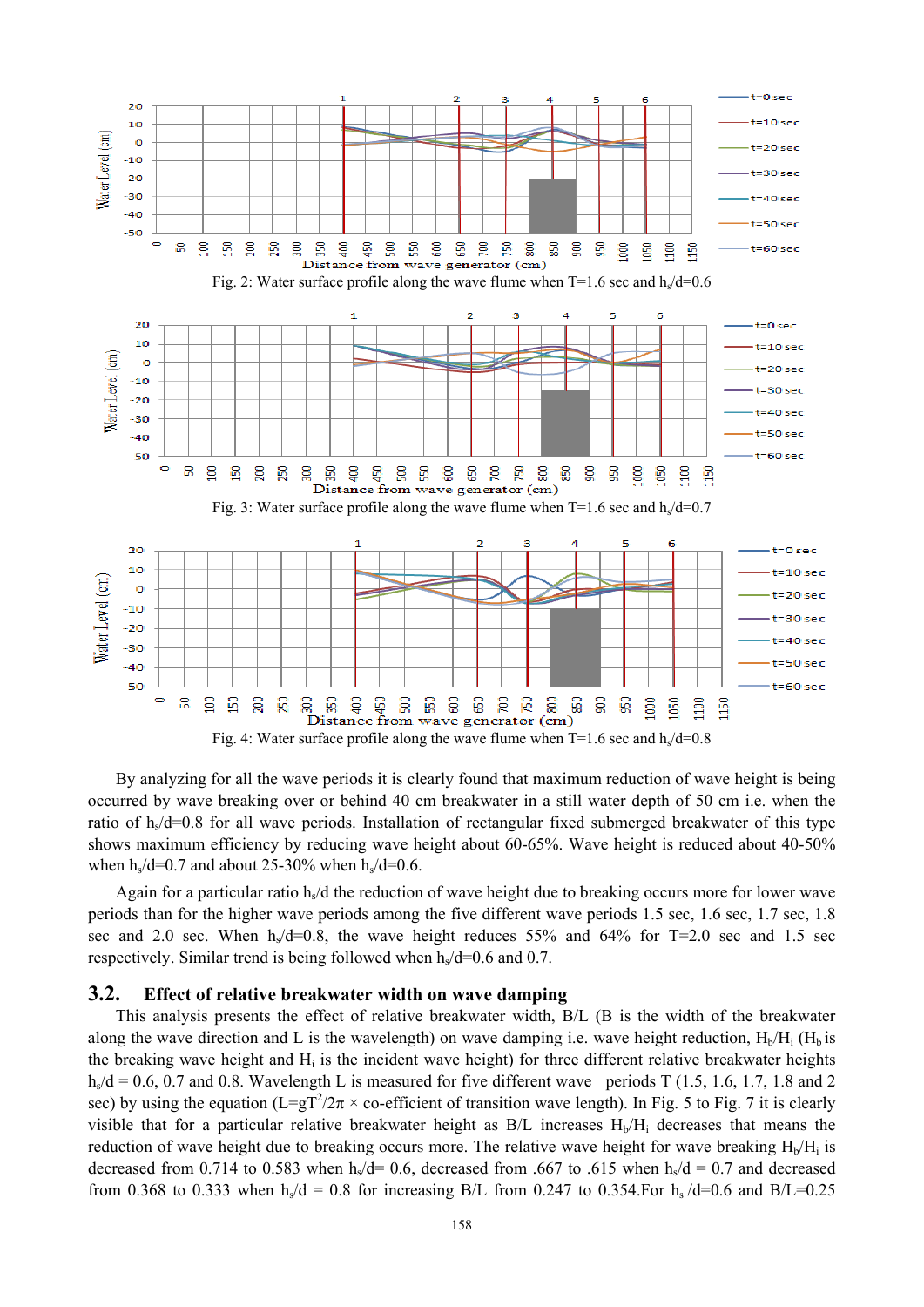

By analyzing for all the wave periods it is clearly found that maximum reduction of wave height is being occurred by wave breaking over or behind 40 cm breakwater in a still water depth of 50 cm i.e. when the ratio of h<sub>s</sub>/d=0.8 for all wave periods. Installation of rectangular fixed submerged breakwater of this type shows maximum efficiency by reducing wave height about 60-65%. Wave height is reduced about 40-50% when  $h<sub>s</sub>/d=0.7$  and about 25-30% when  $h<sub>s</sub>/d=0.6$ .

Again for a particular ratio  $h/d$  the reduction of wave height due to breaking occurs more for lower wave periods than for the higher wave periods among the five different wave periods 1.5 sec, 1.6 sec, 1.7 sec, 1.8 sec and 2.0 sec. When  $h<sub>s</sub>/d=0.8$ , the wave height reduces 55% and 64% for T=2.0 sec and 1.5 sec respectively. Similar trend is being followed when  $h<sub>s</sub>/d=0.6$  and 0.7.

### **3.2. Effect of relative breakwater width on wave damping**

This analysis presents the effect of relative breakwater width, B/L (B is the width of the breakwater along the wave direction and L is the wavelength) on wave damping i.e. wave height reduction,  $H_b/H_i$  ( $H_b$  is the breaking wave height and H<sub>i</sub> is the incident wave height) for three different relative breakwater heights  $h<sub>s</sub>/d = 0.6, 0.7$  and 0.8. Wavelength L is measured for five different wave periods T (1.5, 1.6, 1.7, 1.8 and 2 sec) by using the equation ( $L=gT^2/2\pi \times$  co-efficient of transition wave length). In Fig. 5 to Fig. 7 it is clearly visible that for a particular relative breakwater height as  $B/L$  increases  $H_b/H_i$  decreases that means the reduction of wave height due to breaking occurs more. The relative wave height for wave breaking  $H<sub>b</sub>/H<sub>i</sub>$  is decreased from 0.714 to 0.583 when h<sub>s</sub>/d= 0.6, decreased from .667 to .615 when h<sub>s</sub>/d = 0.7 and decreased from 0.368 to 0.333 when  $h_s/d = 0.8$  for increasing B/L from 0.247 to 0.354. For  $h_s/d=0.6$  and B/L=0.25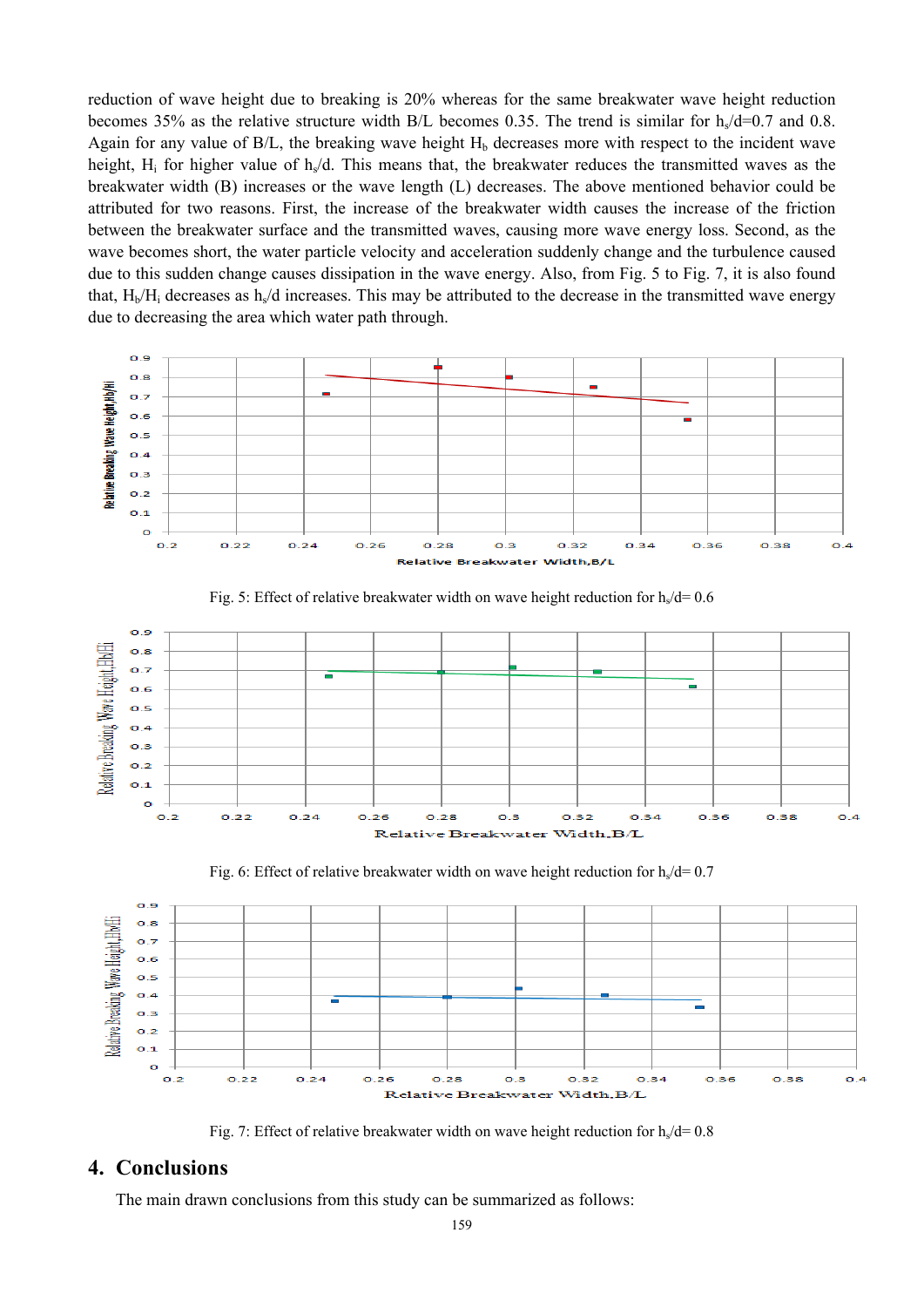reduction of wave height due to breaking is 20% whereas for the same breakwater wave height reduction becomes 35% as the relative structure width B/L becomes 0.35. The trend is similar for  $h<sub>s</sub>/d=0.7$  and 0.8. Again for any value of  $B/L$ , the breaking wave height  $H<sub>b</sub>$  decreases more with respect to the incident wave height,  $H_i$  for higher value of  $h/d$ . This means that, the breakwater reduces the transmitted waves as the breakwater width (B) increases or the wave length (L) decreases. The above mentioned behavior could be attributed for two reasons. First, the increase of the breakwater width causes the increase of the friction between the breakwater surface and the transmitted waves, causing more wave energy loss. Second, as the wave becomes short, the water particle velocity and acceleration suddenly change and the turbulence caused due to this sudden change causes dissipation in the wave energy. Also, from Fig. 5 to Fig. 7, it is also found that,  $H_b/H_i$  decreases as  $h_s/d$  increases. This may be attributed to the decrease in the transmitted wave energy due to decreasing the area which water path through.





Fig. 5: Effect of relative breakwater width on wave height reduction for  $h/d= 0.6$ 





Fig. 7: Effect of relative breakwater width on wave height reduction for  $h/d = 0.8$ 

# **4. Conclusions**

The main drawn conclusions from this study can be summarized as follows: